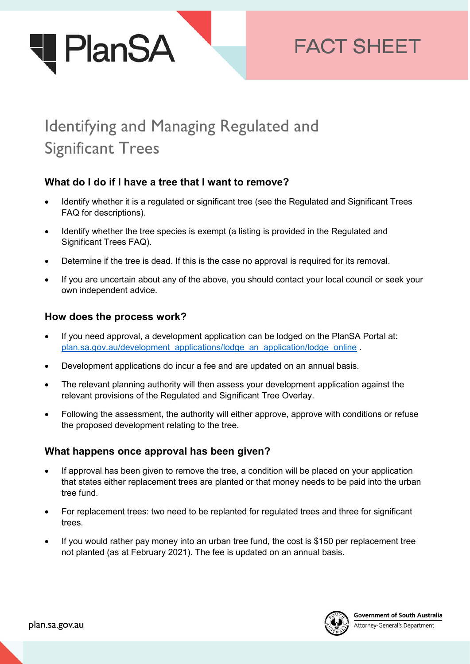

# **FACT SHEET**

# Identifying and Managing Regulated and Significant Trees

# **What do I do if I have a tree that I want to remove?**

- Identify whether it is a regulated or significant tree (see the Regulated and Significant Trees FAQ for descriptions).
- Identify whether the tree species is exempt (a listing is provided in the Regulated and Significant Trees FAQ).
- Determine if the tree is dead. If this is the case no approval is required for its removal.
- If you are uncertain about any of the above, you should contact your local council or seek your own independent advice.

#### **How does the process work?**

- If you need approval, a development application can be lodged on the PlanSA Portal at: [plan.sa.gov.au/development\\_applications/lodge\\_an\\_application/lodge\\_online](https://plan.sa.gov.au/development_applications/lodge_an_application/lodge_online) .
- Development applications do incur a fee and are updated on an annual basis.
- The relevant planning authority will then assess your development application against the relevant provisions of the Regulated and Significant Tree Overlay.
- Following the assessment, the authority will either approve, approve with conditions or refuse the proposed development relating to the tree.

#### **What happens once approval has been given?**

- If approval has been given to remove the tree, a condition will be placed on your application that states either replacement trees are planted or that money needs to be paid into the urban tree fund.
- For replacement trees: two need to be replanted for regulated trees and three for significant trees.
- If you would rather pay money into an urban tree fund, the cost is \$150 per replacement tree not planted (as at February 2021). The fee is updated on an annual basis.